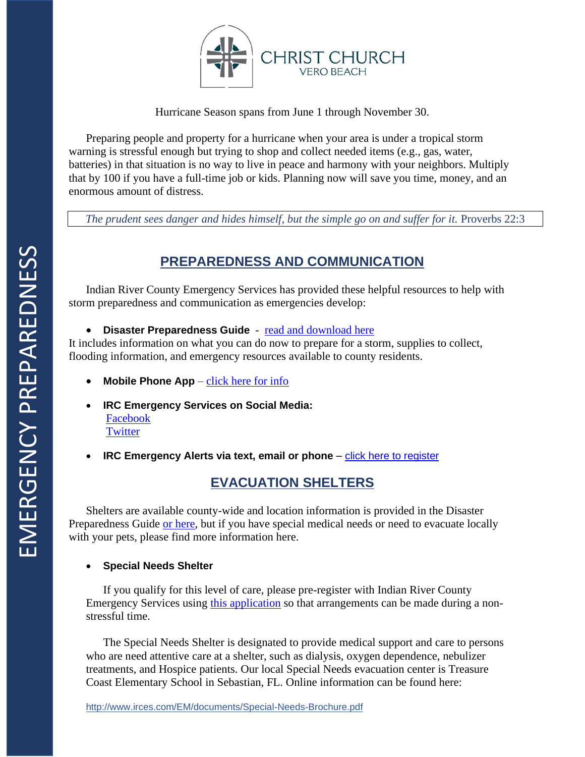

Hurricane Season spans from June 1 through November 30.

Preparing people and property for a hurricane when your area is under a tropical storm warning is stressful enough but trying to shop and collect needed items (e.g., gas, water, batteries) in that situation is no way to live in peace and harmony with your neighbors. Multiply that by 100 if you have a full-time job or kids. Planning now will save you time, money, and an enormous amount of distress.

The prudent sees danger and hides himself, but the simple go on and suffer for it. Proverbs 22:3

# **PREPAREDNESS AND COMMUNICATION**

Indian River County Emergency Services has provided these helpful resources to help with storm preparedness and communication as emergencies develop:

• **Disaster Preparedness Guide** - [read and download here](http://www.irces.com/EM/documents/Disaster-Preparedness.pdf)

It includes information on what you can do now to prepare for a storm, supplies to collect, flooding information, and emergency resources available to county residents.

- **Mobile Phone App** [click here for info](http://readydl.com/landing/eoc12061/index.html)
- **IRC Emergency Services on Social Media:** [Facebook](https://www.facebook.com/IndianRiverEOC) **[Twitter](https://twitter.com/IndianRiverEOC)**
- **IRC Emergency Alerts via text, email or phone [click here to register](https://member.everbridge.net/index/892807736723332#/signup)**

# **EVACUATION SHELTERS**

Shelters are available county-wide and location information is provided in the Disaster Preparedness Guide [or here,](http://www.irces.com/EM/documents/Disaster-Preparedness.pdf#page=44) but if you have special medical needs or need to evacuate locally with your pets, please find more information here.

### • **Special Needs Shelter**

If you qualify for this level of care, please pre-register with Indian River County Emergency Services using [this application](http://www.irces.com/EM/documents/Special_Needs_App.pdf) so that arrangements can be made during a nonstressful time.

The Special Needs Shelter is designated to provide medical support and care to persons who are need attentive care at a shelter, such as dialysis, oxygen dependence, nebulizer treatments, and Hospice patients. Our local Special Needs evacuation center is Treasure Coast Elementary School in Sebastian, FL. Online information can be found here: